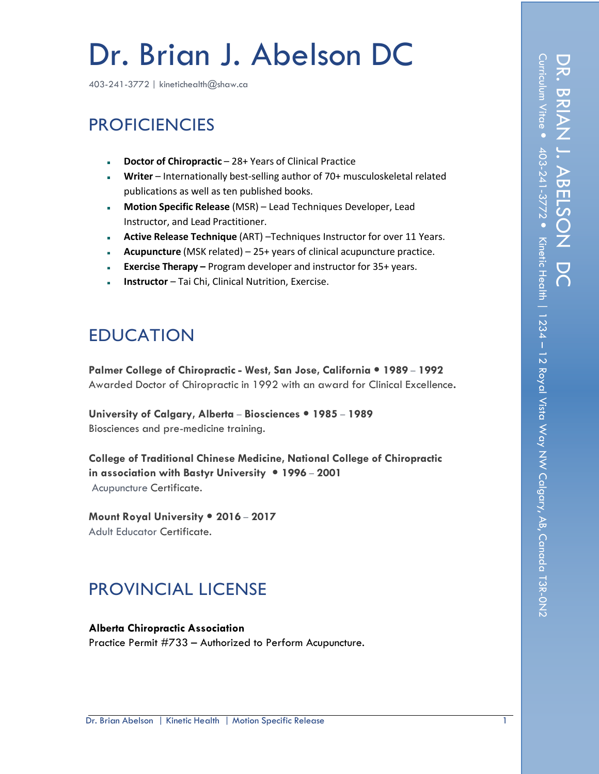# Dr. Brian J. Abelson DC

403-241-3772 | kinetichealth@shaw.ca

# **PROFICIENCIES**

- **Doctor of Chiropractic** 28+ Years of Clinical Practice
- **Writer** Internationally best-selling author of 70+ musculoskeletal related publications as well as ten published books.
- **Motion Specific Release** (MSR) Lead Techniques Developer, Lead Instructor, and Lead Practitioner.
- **Active Release Technique** (ART) –Techniques Instructor for over 11 Years.
- **Acupuncture** (MSK related) 25+ years of clinical acupuncture practice.
- **Exercise Therapy –** Program developer and instructor for 35+ years.
- **Instructor** Tai Chi, Clinical Nutrition, Exercise.

# EDUCATION

**Palmer College of Chiropractic - West, San Jose, California 1989 – 1992** Awarded Doctor of Chiropractic in 1992 with an award for Clinical Excellence**.**

**University of Calgary, Alberta – Biosciences 1985 – 1989** Biosciences and pre-medicine training.

**College of Traditional Chinese Medicine, National College of Chiropractic in association with Bastyr University 1996 – 2001** Acupuncture Certificate.

**Mount Royal University 2016 – 2017** Adult Educator Certificate.

# PROVINCIAL LICENSE

**Alberta Chiropractic Association** Practice Permit #733 – Authorized to Perform Acupuncture.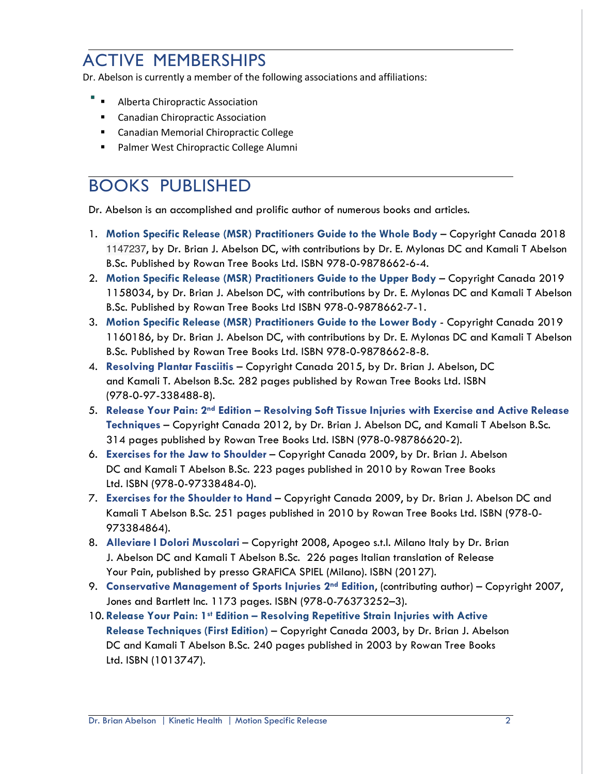# ACTIVE MEMBERSHIPS

Dr. Abelson is currently a member of the following associations and affiliations:

- ! Alberta Chiropractic Association
- **E** Canadian Chiropractic Association
- ! Canadian Memorial Chiropractic College
- Palmer West Chiropractic College Alumni

#### BOOKS PUBLISHED

Dr. Abelson is an accomplished and prolific author of numerous books and articles.

- 1. **Motion Specific Release (MSR) Practitioners Guide to the Whole Body** Copyright Canada 2018 1147237, by Dr. Brian J. Abelson DC, with contributions by Dr. E. Mylonas DC and Kamali T Abelson B.Sc. Published by Rowan Tree Books Ltd. ISBN 978-0-9878662-6-4.
- 2. **Motion Specific Release (MSR) Practitioners Guide to the Upper Body** Copyright Canada 2019 1158034, by Dr. Brian J. Abelson DC, with contributions by Dr. E. Mylonas DC and Kamali T Abelson B.Sc. Published by Rowan Tree Books Ltd ISBN 978-0-9878662-7-1.
- 3. **Motion Specific Release (MSR) Practitioners Guide to the Lower Body** Copyright Canada 2019 1160186, by Dr. Brian J. Abelson DC, with contributions by Dr. E. Mylonas DC and Kamali T Abelson B.Sc. Published by Rowan Tree Books Ltd. ISBN 978-0-9878662-8-8.
- 4. **Resolving Plantar Fasciitis** Copyright Canada 2015, by Dr. Brian J. Abelson, DC and Kamali T. Abelson B.Sc. 282 pages published by Rowan Tree Books Ltd. ISBN (978-0-97-338488-8).
- 5. **Release Your Pain: 2nd Edition – Resolving Soft Tissue Injuries with Exercise and Active Release Techniques** – Copyright Canada 2012, by Dr. Brian J. Abelson DC, and Kamali T Abelson B.Sc. 314 pages published by Rowan Tree Books Ltd. ISBN (978-0-98786620-2).
- 6. **Exercises for the Jaw to Shoulder** Copyright Canada 2009, by Dr. Brian J. Abelson DC and Kamali T Abelson B.Sc. 223 pages published in 2010 by Rowan Tree Books Ltd. ISBN (978-0-97338484-0).
- 7. **Exercises for the Shoulder to Hand** Copyright Canada 2009, by Dr. Brian J. Abelson DC and Kamali T Abelson B.Sc. 251 pages published in 2010 by Rowan Tree Books Ltd. ISBN (978-0- 973384864).
- 8. **Alleviare I Dolori Muscolari** Copyright 2008, Apogeo s.t.l. Milano Italy by Dr. Brian J. Abelson DC and Kamali T Abelson B.Sc. 226 pages Italian translation of Release Your Pain, published by presso GRAFICA SPIEL (Milano). ISBN (20127).
- 9. **Conservative Management of Sports Injuries 2nd Edition**, (contributing author) Copyright 2007, Jones and Bartlett Inc. 1173 pages. ISBN (978-0-76373252–3).
- 10. **Release Your Pain: 1st Edition – Resolving Repetitive Strain Injuries with Active Release Techniques (First Edition)** – Copyright Canada 2003, by Dr. Brian J. Abelson DC and Kamali T Abelson B.Sc. 240 pages published in 2003 by Rowan Tree Books Ltd. ISBN (1013747).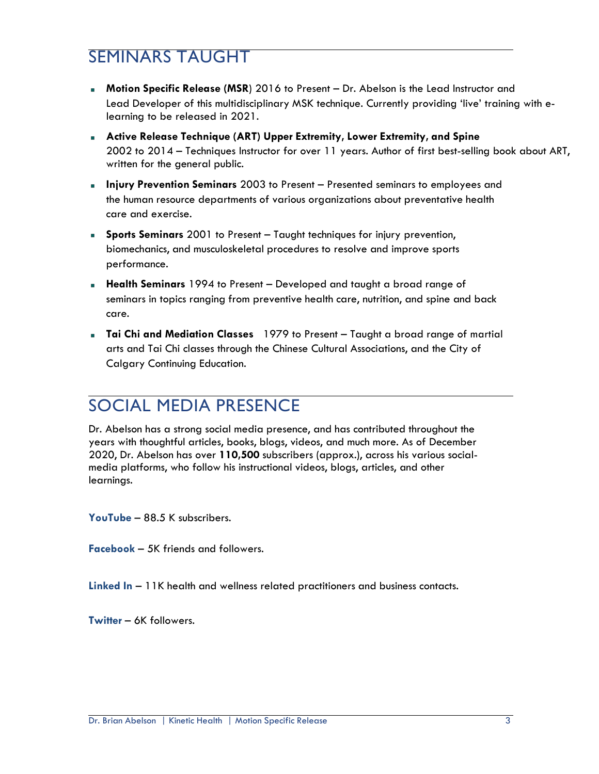# SEMINARS TAUGHT

- **Motion Specific Release (MSR**) 2016 to Present Dr. Abelson is the Lead Instructor and Lead Developer of this multidisciplinary MSK technique. Currently providing 'live' training with elearning to be released in 2021.
- **Active Release Technique (ART) Upper Extremity, Lower Extremity, and Spine** 2002 to 2014 – Techniques Instructor for over 11 years. Author of first best-selling book about ART, written for the general public.
- **Injury Prevention Seminars** 2003 to Present Presented seminars to employees and the human resource departments of various organizations about preventative health care and exercise.
- **Sports Seminars** 2001 to Present Taught techniques for injury prevention, biomechanics, and musculoskeletal procedures to resolve and improve sports performance.
- **Health Seminars** 1994 to Present Developed and taught a broad range of seminars in topics ranging from preventive health care, nutrition, and spine and back care.
- **Tai Chi and Mediation Classes** 1979 to Present Taught a broad range of martial arts and Tai Chi classes through the Chinese Cultural Associations, and the City of Calgary Continuing Education.

# SOCIAL MEDIA PRESENCE

Dr. Abelson has a strong social media presence, and has contributed throughout the years with thoughtful articles, books, blogs, videos, and much more. As of December 2020, Dr. Abelson has over **110,500** subscribers (approx.), across his various socialmedia platforms, who follow his instructional videos, blogs, articles, and other learnings.

**YouTube** – 88.5 K subscribers.

**Facebook** – 5K friends and followers.

**Linked In** – 11K health and wellness related practitioners and business contacts.

**Twitter** – 6K followers.